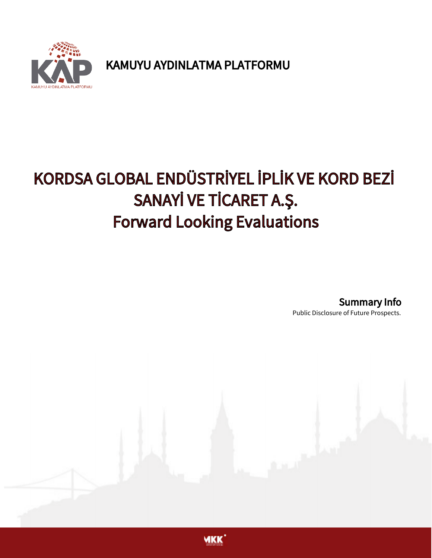

KAMUYU AYDINLATMA PLATFORMU

## KORDSA GLOBAL ENDÜSTRİYEL İPLİK VE KORD BEZİ SANAYİ VE TİCARET A.Ş. Forward Looking Evaluations

Summary Info

Public Disclosure of Future Prospects.